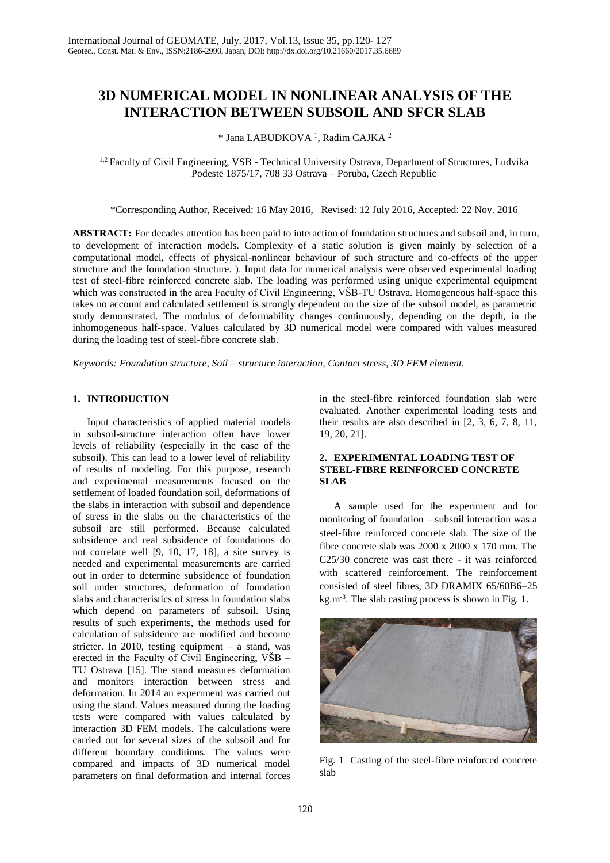# **3D NUMERICAL MODEL IN NONLINEAR ANALYSIS OF THE INTERACTION BETWEEN SUBSOIL AND SFCR SLAB**

# \* Jana LABUDKOVA <sup>1</sup> , Radim CAJKA <sup>2</sup>

<sup>1,2</sup> Faculty of Civil Engineering, VSB - Technical University Ostrava, Department of Structures, Ludvika Podeste 1875/17, 708 33 Ostrava – Poruba, Czech Republic

\*Corresponding Author, Received: 16 May 2016, Revised: 12 July 2016, Accepted: 22 Nov. 2016

**ABSTRACT:** For decades attention has been paid to interaction of foundation structures and subsoil and, in turn, to development of interaction models. Complexity of a static solution is given mainly by selection of a computational model, effects of physical-nonlinear behaviour of such structure and co-effects of the upper structure and the foundation structure. ). Input data for numerical analysis were observed experimental loading test of steel-fibre reinforced concrete slab. The loading was performed using unique experimental equipment which was constructed in the area Faculty of Civil Engineering, VŠB-TU Ostrava. Homogeneous half-space this takes no account and calculated settlement is strongly dependent on the size of the subsoil model, as parametric study demonstrated. The modulus of deformability changes continuously, depending on the depth, in the inhomogeneous half-space. Values calculated by 3D numerical model were compared with values measured during the loading test of steel-fibre concrete slab.

*Keywords: Foundation structure, Soil – structure interaction, Contact stress, 3D FEM element.*

## **1. INTRODUCTION**

Input characteristics of applied material models in subsoil-structure interaction often have lower levels of reliability (especially in the case of the subsoil). This can lead to a lower level of reliability of results of modeling. For this purpose, research and experimental measurements focused on the settlement of loaded foundation soil, deformations of the slabs in interaction with subsoil and dependence of stress in the slabs on the characteristics of the subsoil are still performed. Because calculated subsidence and real subsidence of foundations do not correlate well [9, 10, 17, 18], a site survey is needed and experimental measurements are carried out in order to determine subsidence of foundation soil under structures, deformation of foundation slabs and characteristics of stress in foundation slabs which depend on parameters of subsoil. Using results of such experiments, the methods used for calculation of subsidence are modified and become stricter. In 2010, testing equipment – a stand, was erected in the Faculty of Civil Engineering, VŠB – TU Ostrava [15]. The stand measures deformation and monitors interaction between stress and deformation. In 2014 an experiment was carried out using the stand. Values measured during the loading tests were compared with values calculated by interaction 3D FEM models. The calculations were carried out for several sizes of the subsoil and for different boundary conditions. The values were compared and impacts of 3D numerical model parameters on final deformation and internal forces in the steel-fibre reinforced foundation slab were evaluated. Another experimental loading tests and their results are also described in [2, 3, 6, 7, 8, 11, 19, 20, 21].

## **2. EXPERIMENTAL LOADING TEST OF STEEL-FIBRE REINFORCED CONCRETE SLAB**

A sample used for the experiment and for monitoring of foundation – subsoil interaction was a steel-fibre reinforced concrete slab. The size of the fibre concrete slab was 2000 x 2000 x 170 mm. The C25/30 concrete was cast there - it was reinforced with scattered reinforcement. The reinforcement consisted of steel fibres, 3D DRAMIX 65/60B6–25 kg.m-3 . The slab casting process is shown in Fig. 1.



Fig. 1 Casting of the steel-fibre reinforced concrete slab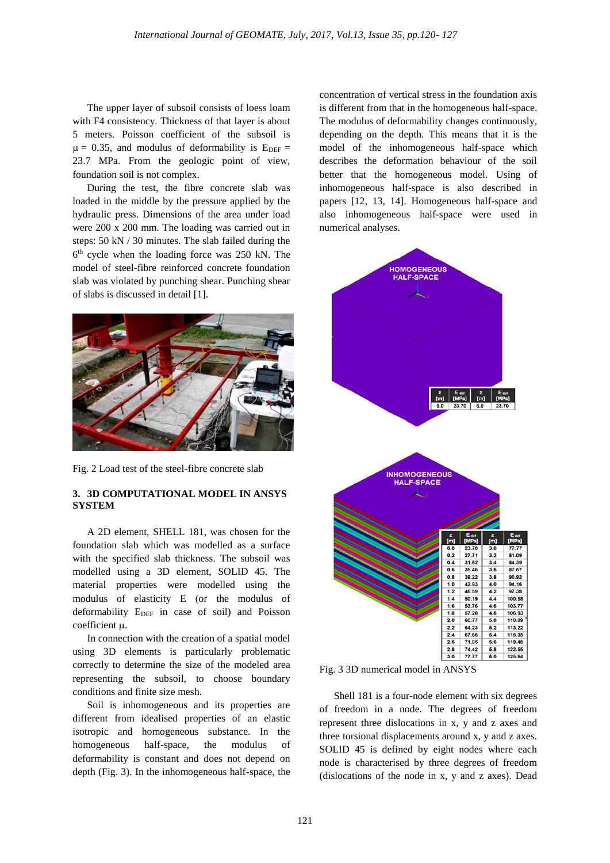The upper layer of subsoil consists of loess loam with F4 consistency. Thickness of that layer is about 5 meters. Poisson coefficient of the subsoil is  $\mu = 0.35$ , and modulus of deformability is  $E_{DEF} =$ 23.7 MPa. From the geologic point of view, foundation soil is not complex.

During the test, the fibre concrete slab was loaded in the middle by the pressure applied by the hydraulic press. Dimensions of the area under load were 200 x 200 mm. The loading was carried out in steps: 50 kN / 30 minutes. The slab failed during the 6 th cycle when the loading force was 250 kN. The model of steel-fibre reinforced concrete foundation slab was violated by punching shear. Punching shear of slabs is discussed in detail [1].



Fig. 2 Load test of the steel-fibre concrete slab

# **3. 3D COMPUTATIONAL MODEL IN ANSYS SYSTEM**

A 2D element, SHELL 181, was chosen for the foundation slab which was modelled as a surface with the specified slab thickness. The subsoil was modelled using a 3D element, SOLID 45. The material properties were modelled using the modulus of elasticity E (or the modulus of deformability  $E_{DEF}$  in case of soil) and Poisson coefficient  $\mu$ .

In connection with the creation of a spatial model using 3D elements is particularly problematic correctly to determine the size of the modeled area representing the subsoil, to choose boundary conditions and finite size mesh.

Soil is inhomogeneous and its properties are different from idealised properties of an elastic isotropic and homogeneous substance. In the homogeneous half-space, the modulus of deformability is constant and does not depend on depth (Fig. 3). In the inhomogeneous half-space, the

concentration of vertical stress in the foundation axis is different from that in the homogeneous half-space. The modulus of deformability changes continuously, depending on the depth. This means that it is the model of the inhomogeneous half-space which describes the deformation behaviour of the soil better that the homogeneous model. Using of inhomogeneous half-space is also described in papers [12, 13, 14]. Homogeneous half-space and also inhomogeneous half-space were used in numerical analyses.



Fig. 3 3D numerical model in ANSYS

Shell 181 is a four-node element with six degrees of freedom in a node. The degrees of freedom represent three dislocations in x, y and z axes and three torsional displacements around x, y and z axes. SOLID 45 is defined by eight nodes where each node is characterised by three degrees of freedom (dislocations of the node in x, y and z axes). Dead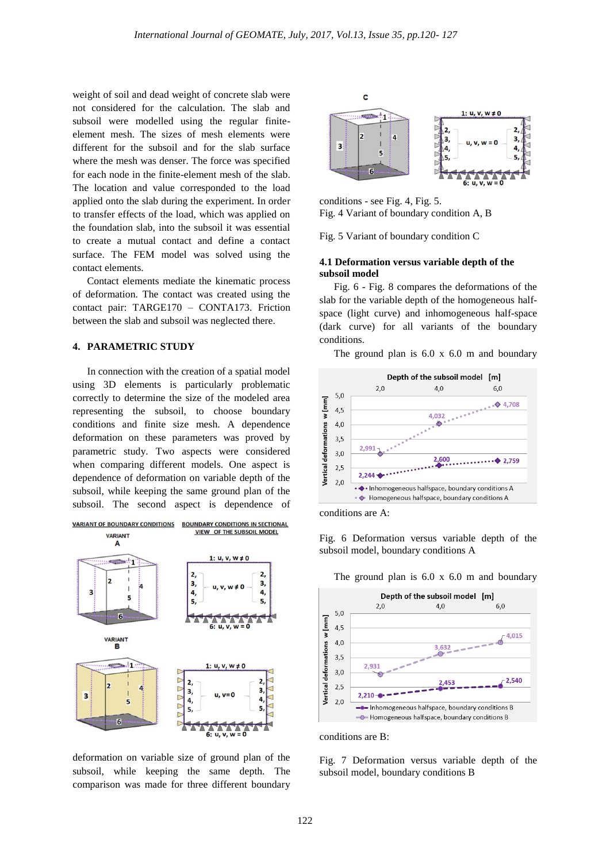weight of soil and dead weight of concrete slab were not considered for the calculation. The slab and subsoil were modelled using the regular finiteelement mesh. The sizes of mesh elements were different for the subsoil and for the slab surface where the mesh was denser. The force was specified for each node in the finite-element mesh of the slab. The location and value corresponded to the load applied onto the slab during the experiment. In order to transfer effects of the load, which was applied on the foundation slab, into the subsoil it was essential to create a mutual contact and define a contact surface. The FEM model was solved using the contact elements.

Contact elements mediate the kinematic process of deformation. The contact was created using the contact pair: TARGE170 – CONTA173. Friction between the slab and subsoil was neglected there.

## **4. PARAMETRIC STUDY**

In connection with the creation of a spatial model using 3D elements is particularly problematic correctly to determine the size of the modeled area representing the subsoil, to choose boundary conditions and finite size mesh. A dependence deformation on these parameters was proved by parametric study. Two aspects were considered when comparing different models. One aspect is dependence of deformation on variable depth of the subsoil, while keeping the same ground plan of the subsoil. The second aspect is dependence of



deformation on variable size of ground plan of the subsoil, while keeping the same depth. The comparison was made for three different boundary



conditions - see Fig. 4, Fig. 5. Fig. 4 Variant of boundary condition A, B

Fig. 5 Variant of boundary condition C

#### **4.1 Deformation versus variable depth of the subsoil model**

Fig. 6 - Fig. 8 compares the deformations of the slab for the variable depth of the homogeneous halfspace (light curve) and inhomogeneous half-space (dark curve) for all variants of the boundary conditions.

The ground plan is 6.0 x 6.0 m and boundary





Fig. 6 Deformation versus variable depth of the subsoil model, boundary conditions A

The ground plan is 6.0 x 6.0 m and boundary



conditions are B:

Fig. 7 Deformation versus variable depth of the subsoil model, boundary conditions B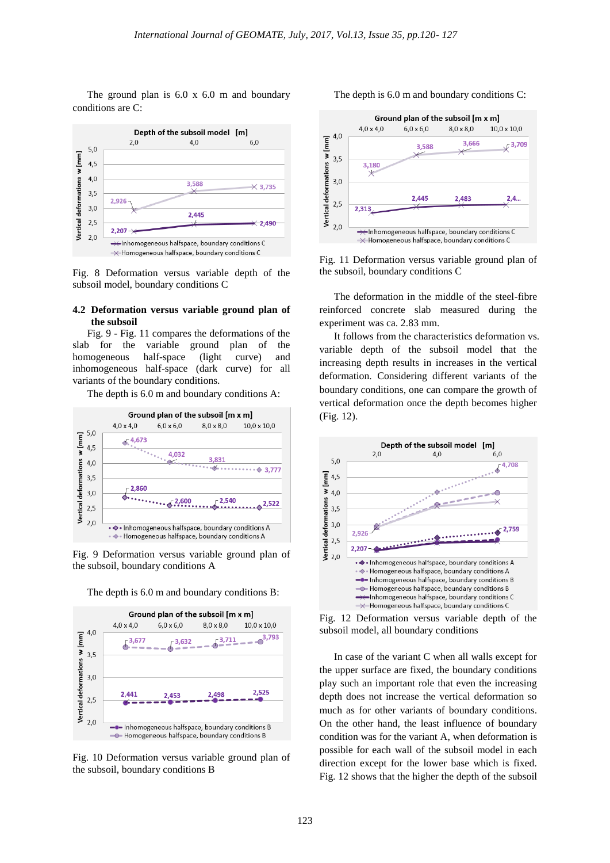The ground plan is 6.0 x 6.0 m and boundary conditions are C:



Fig. 8 Deformation versus variable depth of the subsoil model, boundary conditions C

#### **4.2 Deformation versus variable ground plan of the subsoil**

Fig. 9 - Fig. 11 compares the deformations of the slab for the variable ground plan of the homogeneous half-space (light curve) and inhomogeneous half-space (dark curve) for all variants of the boundary conditions.

The depth is 6.0 m and boundary conditions A:



Fig. 9 Deformation versus variable ground plan of the subsoil, boundary conditions A



The depth is 6.0 m and boundary conditions B:

Fig. 10 Deformation versus variable ground plan of the subsoil, boundary conditions B

The depth is 6.0 m and boundary conditions C:



Fig. 11 Deformation versus variable ground plan of the subsoil, boundary conditions C

The deformation in the middle of the steel-fibre reinforced concrete slab measured during the experiment was ca. 2.83 mm.

It follows from the characteristics deformation vs. variable depth of the subsoil model that the increasing depth results in increases in the vertical deformation. Considering different variants of the boundary conditions, one can compare the growth of vertical deformation once the depth becomes higher (Fig. 12).



Fig. 12 Deformation versus variable depth of the subsoil model, all boundary conditions

In case of the variant C when all walls except for the upper surface are fixed, the boundary conditions play such an important role that even the increasing depth does not increase the vertical deformation so much as for other variants of boundary conditions. On the other hand, the least influence of boundary condition was for the variant A, when deformation is possible for each wall of the subsoil model in each direction except for the lower base which is fixed. Fig. 12 shows that the higher the depth of the subsoil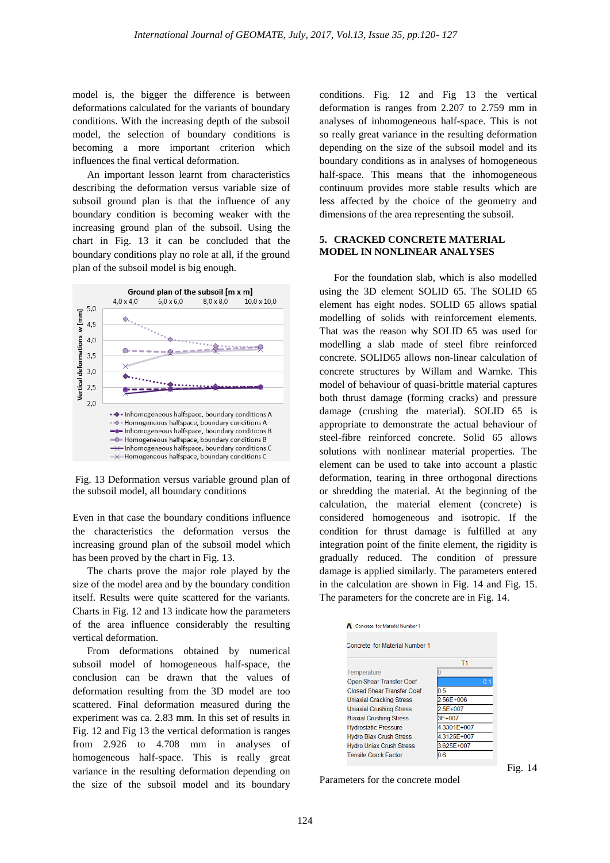model is, the bigger the difference is between deformations calculated for the variants of boundary conditions. With the increasing depth of the subsoil model, the selection of boundary conditions is becoming a more important criterion which influences the final vertical deformation.

An important lesson learnt from characteristics describing the deformation versus variable size of subsoil ground plan is that the influence of any boundary condition is becoming weaker with the increasing ground plan of the subsoil. Using the chart in Fig. 13 it can be concluded that the boundary conditions play no role at all, if the ground plan of the subsoil model is big enough.



Fig. 13 Deformation versus variable ground plan of the subsoil model, all boundary conditions

Even in that case the boundary conditions influence the characteristics the deformation versus the increasing ground plan of the subsoil model which has been proved by the chart in Fig. 13.

The charts prove the major role played by the size of the model area and by the boundary condition itself. Results were quite scattered for the variants. Charts in Fig. 12 and 13 indicate how the parameters of the area influence considerably the resulting vertical deformation.

From deformations obtained by numerical subsoil model of homogeneous half-space, the conclusion can be drawn that the values of deformation resulting from the 3D model are too scattered. Final deformation measured during the experiment was ca. 2.83 mm. In this set of results in Fig. 12 and Fig 13 the vertical deformation is ranges from 2.926 to 4.708 mm in analyses of homogeneous half-space. This is really great variance in the resulting deformation depending on the size of the subsoil model and its boundary

conditions. Fig. 12 and Fig 13 the vertical deformation is ranges from 2.207 to 2.759 mm in analyses of inhomogeneous half-space. This is not so really great variance in the resulting deformation depending on the size of the subsoil model and its boundary conditions as in analyses of homogeneous half-space. This means that the inhomogeneous continuum provides more stable results which are less affected by the choice of the geometry and dimensions of the area representing the subsoil.

# **5. CRACKED CONCRETE MATERIAL MODEL IN NONLINEAR ANALYSES**

For the foundation slab, which is also modelled using the 3D element SOLID 65. The SOLID 65 element has eight nodes. SOLID 65 allows spatial modelling of solids with reinforcement elements. That was the reason why SOLID 65 was used for modelling a slab made of steel fibre reinforced concrete. SOLID65 allows non-linear calculation of concrete structures by Willam and Warnke. This model of behaviour of quasi-brittle material captures both thrust damage (forming cracks) and pressure damage (crushing the material). SOLID 65 is appropriate to demonstrate the actual behaviour of steel-fibre reinforced concrete. Solid 65 allows solutions with nonlinear material properties. The element can be used to take into account a plastic deformation, tearing in three orthogonal directions or shredding the material. At the beginning of the calculation, the material element (concrete) is considered homogeneous and isotropic. If the condition for thrust damage is fulfilled at any integration point of the finite element, the rigidity is gradually reduced. The condition of pressure damage is applied similarly. The parameters entered in the calculation are shown in Fig. 14 and Fig. 15. The parameters for the concrete are in Fig. 14.





Fig. 14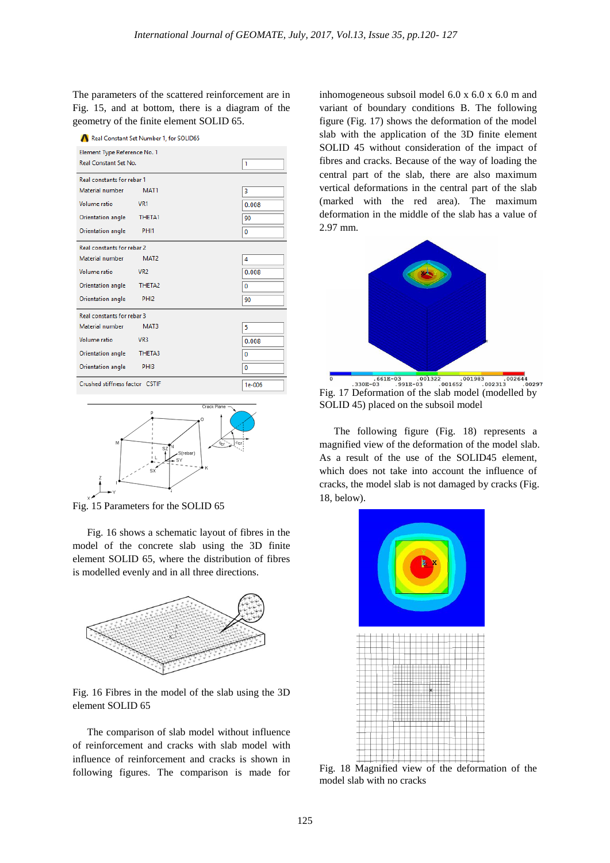The parameters of the scattered reinforcement are in Fig. 15, and at bottom, there is a diagram of the geometry of the finite element SOLID 65.

|  | Real Constant Set Number 1, for SOLID65 |  |  |
|--|-----------------------------------------|--|--|
|  |                                         |  |  |

| Element Type Reference No. 1<br>Real Constant Set No. | 1                  |  |       |  |  |  |
|-------------------------------------------------------|--------------------|--|-------|--|--|--|
| Real constants for rebar 1                            |                    |  |       |  |  |  |
| Material number                                       | MAT <sub>1</sub>   |  | 3     |  |  |  |
| Volume ratio                                          | VR <sub>1</sub>    |  | 0.008 |  |  |  |
| Orientation angle                                     | THETA1             |  | 90    |  |  |  |
| Orientation angle                                     | PHI <sub>1</sub>   |  | 0     |  |  |  |
| Real constants for rebar 2                            |                    |  |       |  |  |  |
| Material number                                       | MAT <sub>2</sub>   |  | 4     |  |  |  |
| Volume ratio                                          | VR <sub>2</sub>    |  | 0.008 |  |  |  |
| Orientation angle                                     | THETA <sub>2</sub> |  | 0     |  |  |  |
| Orientation angle                                     | PHI <sub>2</sub>   |  | 90    |  |  |  |
| Real constants for rebar 3                            |                    |  |       |  |  |  |
| Material number                                       | MAT3               |  | 5     |  |  |  |
| Volume ratio                                          | VR <sub>3</sub>    |  | 0.008 |  |  |  |
| Orientation angle                                     | THETA3             |  | 0     |  |  |  |
| Orientation angle                                     | PHI3               |  | 0     |  |  |  |
| Crushed stiffness factor CSTIF                        | $1e-006$           |  |       |  |  |  |



Fig. 15 Parameters for the SOLID 65

Fig. 16 shows a schematic layout of fibres in the model of the concrete slab using the 3D finite element SOLID 65, where the distribution of fibres is modelled evenly and in all three directions.



Fig. 16 Fibres in the model of the slab using the 3D element SOLID 65

The comparison of slab model without influence of reinforcement and cracks with slab model with influence of reinforcement and cracks is shown in following figures. The comparison is made for inhomogeneous subsoil model 6.0 x 6.0 x 6.0 m and variant of boundary conditions B. The following figure (Fig. 17) shows the deformation of the model slab with the application of the 3D finite element SOLID 45 without consideration of the impact of fibres and cracks. Because of the way of loading the central part of the slab, there are also maximum vertical deformations in the central part of the slab (marked with the red area). The maximum deformation in the middle of the slab has a value of 2.97 mm.



 $170297$ Fig. 17 Deformation of the slab model (modelled by SOLID 45) placed on the subsoil model

The following figure (Fig. 18) represents a magnified view of the deformation of the model slab. As a result of the use of the SOLID45 element, which does not take into account the influence of cracks, the model slab is not damaged by cracks (Fig. 18, below).



Fig. 18 Magnified view of the deformation of the model slab with no cracks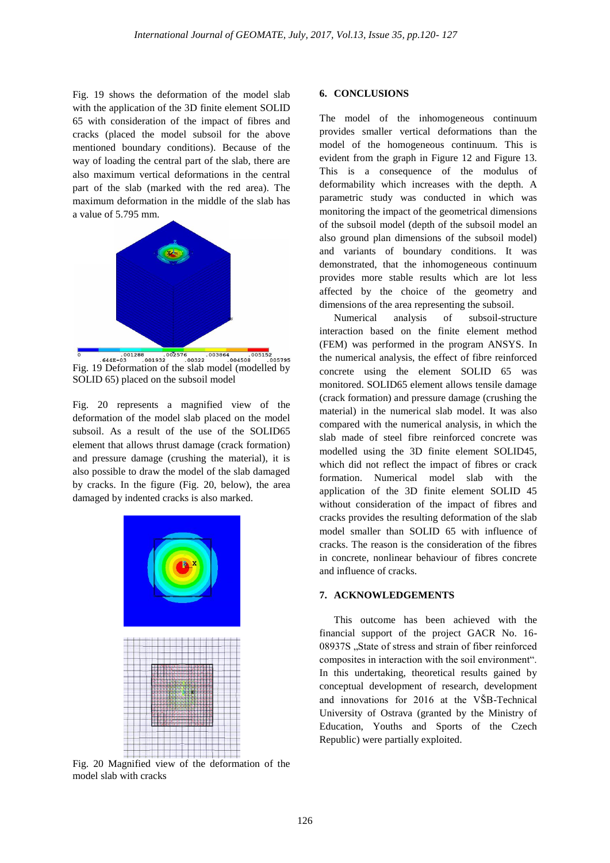Fig. 19 shows the deformation of the model slab with the application of the 3D finite element SOLID 65 with consideration of the impact of fibres and cracks (placed the model subsoil for the above mentioned boundary conditions). Because of the way of loading the central part of the slab, there are also maximum vertical deformations in the central part of the slab (marked with the red area). The maximum deformation in the middle of the slab has a value of 5.795 mm.



Fig. 19 Deformation of the slab model (modelled by SOLID 65) placed on the subsoil model

Fig. 20 represents a magnified view of the deformation of the model slab placed on the model subsoil. As a result of the use of the SOLID65 element that allows thrust damage (crack formation) and pressure damage (crushing the material), it is also possible to draw the model of the slab damaged by cracks. In the figure (Fig. 20, below), the area damaged by indented cracks is also marked.



Fig. 20 Magnified view of the deformation of the model slab with cracks

#### **6. CONCLUSIONS**

The model of the inhomogeneous continuum provides smaller vertical deformations than the model of the homogeneous continuum. This is evident from the graph in Figure 12 and Figure 13. This is a consequence of the modulus of deformability which increases with the depth. A parametric study was conducted in which was monitoring the impact of the geometrical dimensions of the subsoil model (depth of the subsoil model an also ground plan dimensions of the subsoil model) and variants of boundary conditions. It was demonstrated, that the inhomogeneous continuum provides more stable results which are lot less affected by the choice of the geometry and dimensions of the area representing the subsoil.

Numerical analysis of subsoil-structure interaction based on the finite element method (FEM) was performed in the program ANSYS. In the numerical analysis, the effect of fibre reinforced concrete using the element SOLID 65 was monitored. SOLID65 element allows tensile damage (crack formation) and pressure damage (crushing the material) in the numerical slab model. It was also compared with the numerical analysis, in which the slab made of steel fibre reinforced concrete was modelled using the 3D finite element SOLID45, which did not reflect the impact of fibres or crack formation. Numerical model slab with the application of the 3D finite element SOLID 45 without consideration of the impact of fibres and cracks provides the resulting deformation of the slab model smaller than SOLID 65 with influence of cracks. The reason is the consideration of the fibres in concrete, nonlinear behaviour of fibres concrete and influence of cracks.

#### **7. ACKNOWLEDGEMENTS**

This outcome has been achieved with the financial support of the project GACR No. 16- 08937S "State of stress and strain of fiber reinforced composites in interaction with the soil environment". In this undertaking, theoretical results gained by conceptual development of research, development and innovations for 2016 at the VŠB-Technical University of Ostrava (granted by the Ministry of Education, Youths and Sports of the Czech Republic) were partially exploited.